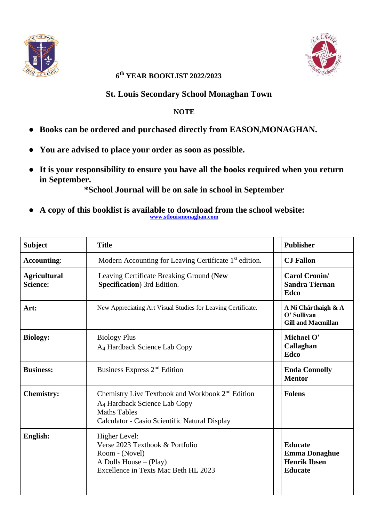



## **6 th YEAR BOOKLIST 2022/2023**

## **St. Louis Secondary School Monaghan Town**

## **NOTE**

- **Books can be ordered and purchased directly from EASON,MONAGHAN.**
- **You are advised to place your order as soon as possible.**
- **It is your responsibility to ensure you have all the books required when you return in September.**

**\*School Journal will be on sale in school in September**

● **A copy of this booklist is available to download from the school website: [www.stlouismonaghan.com](http://www.stlouismonaghan.com/)**

| <b>Subject</b>                         | <b>Title</b>                                                                                                                                                                     | <b>Publisher</b>                                                                |
|----------------------------------------|----------------------------------------------------------------------------------------------------------------------------------------------------------------------------------|---------------------------------------------------------------------------------|
| <b>Accounting:</b>                     | Modern Accounting for Leaving Certificate 1 <sup>st</sup> edition.                                                                                                               | <b>CJ</b> Fallon                                                                |
| <b>Agricultural</b><br><b>Science:</b> | Leaving Certificate Breaking Ground (New<br>Specification) 3rd Edition.                                                                                                          | <b>Carol Cronin/</b><br><b>Sandra Tiernan</b><br>Edco                           |
| Art:                                   | New Appreciating Art Visual Studies for Leaving Certificate.                                                                                                                     | A Ni Chárthaigh & A<br>O' Sullivan<br><b>Gill and Macmillan</b>                 |
| <b>Biology:</b>                        | <b>Biology Plus</b><br>A <sub>4</sub> Hardback Science Lab Copy                                                                                                                  | Michael O'<br>Callaghan<br>Edco                                                 |
| <b>Business:</b>                       | Business Express 2 <sup>nd</sup> Edition                                                                                                                                         | <b>Enda Connolly</b><br><b>Mentor</b>                                           |
| <b>Chemistry:</b>                      | Chemistry Live Textbook and Workbook 2 <sup>nd</sup> Edition<br>A <sub>4</sub> Hardback Science Lab Copy<br><b>Maths Tables</b><br>Calculator - Casio Scientific Natural Display | <b>Folens</b>                                                                   |
| English:                               | Higher Level:<br>Verse 2023 Textbook & Portfolio<br>Room - (Novel)<br>A Dolls House $-$ (Play)<br>Excellence in Texts Mac Beth HL 2023                                           | <b>Educate</b><br><b>Emma Donaghue</b><br><b>Henrik Ibsen</b><br><b>Educate</b> |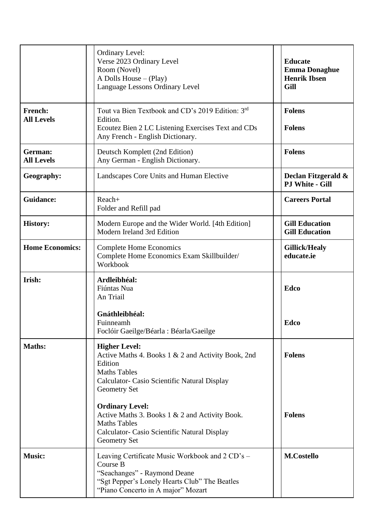|                              | <b>Ordinary Level:</b><br>Verse 2023 Ordinary Level<br>Room (Novel)<br>A Dolls House $-$ (Play)<br>Language Lessons Ordinary Level                                                                                                                                                                                                                     | <b>Educate</b><br><b>Emma Donaghue</b><br><b>Henrik Ibsen</b><br>Gill |
|------------------------------|--------------------------------------------------------------------------------------------------------------------------------------------------------------------------------------------------------------------------------------------------------------------------------------------------------------------------------------------------------|-----------------------------------------------------------------------|
| French:<br><b>All Levels</b> | Tout va Bien Textbook and CD's 2019 Edition: 3rd<br>Edition.<br>Ecoutez Bien 2 LC Listening Exercises Text and CDs<br>Any French - English Dictionary.                                                                                                                                                                                                 | <b>Folens</b><br><b>Folens</b>                                        |
| German:<br><b>All Levels</b> | Deutsch Komplett (2nd Edition)<br>Any German - English Dictionary.                                                                                                                                                                                                                                                                                     | <b>Folens</b>                                                         |
| Geography:                   | Landscapes Core Units and Human Elective                                                                                                                                                                                                                                                                                                               | Declan Fitzgerald &<br><b>PJ White - Gill</b>                         |
| <b>Guidance:</b>             | Reach+<br>Folder and Refill pad                                                                                                                                                                                                                                                                                                                        | <b>Careers Portal</b>                                                 |
| <b>History:</b>              | Modern Europe and the Wider World. [4th Edition]<br>Modern Ireland 3rd Edition                                                                                                                                                                                                                                                                         | <b>Gill Education</b><br><b>Gill Education</b>                        |
| <b>Home Economics:</b>       | <b>Complete Home Economics</b><br>Complete Home Economics Exam Skillbuilder/<br>Workbook                                                                                                                                                                                                                                                               | <b>Gillick/Healy</b><br>educate.ie                                    |
| Irish:                       | Ardleibhéal:<br>Fiúntas Nua<br>An Triail                                                                                                                                                                                                                                                                                                               | Edco                                                                  |
|                              | Gnáthleibhéal:<br>Fuinneamh<br>Foclóir Gaeilge/Béarla : Béarla/Gaeilge                                                                                                                                                                                                                                                                                 | Edco                                                                  |
| <b>Maths:</b>                | <b>Higher Level:</b><br>Active Maths 4. Books 1 & 2 and Activity Book, 2nd<br>Edition<br><b>Maths Tables</b><br>Calculator- Casio Scientific Natural Display<br><b>Geometry Set</b><br><b>Ordinary Level:</b><br>Active Maths 3. Books 1 & 2 and Activity Book.<br><b>Maths Tables</b><br>Calculator- Casio Scientific Natural Display<br>Geometry Set | <b>Folens</b><br><b>Folens</b>                                        |
| <b>Music:</b>                | Leaving Certificate Music Workbook and 2 CD's -<br>Course B<br>"Seachanges" - Raymond Deane<br>"Sgt Pepper's Lonely Hearts Club" The Beatles<br>"Piano Concerto in A major" Mozart                                                                                                                                                                     | <b>M.Costello</b>                                                     |